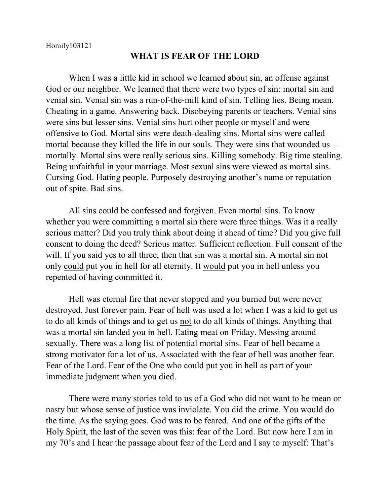Homily103121

## **WHAT IS FEAR OF THE LORD**

When I was a little kid in school we learned about sin, an offense against God or our neighbor. We learned that there were two types of sin: mortal sin and venial sin. Venial sin was a run-of-the-mill kind of sin. Telling lies. Being mean. Cheating in a game. Answering back. Disobeying parents or teachers. Venial sins were sins but lesser sins. Venial sins hurt other people or myself and were offensive to God. Mortal sins were death-dealing sins. Mortal sins were called mortal because they killed the life in our souls. They were sins that wounded us mortally. Mortal sins were really serious sins. Killing somebody. Big time stealing. Being unfaithful in your marriage. Most sexual sins were viewed as mortal sins. Cursing God. Hating people. Purposely destroying another's name or reputation out of spite. Bad sins.

All sins could be confessed and forgiven. Even mortal sins. To know whether you were committing a mortal sin there were three things. Was it a really serious matter? Did you truly think about doing it ahead of time? Did you give full consent to doing the deed? Serious matter. Sufficient reflection. Full consent of the will. If you said yes to all three, then that sin was a mortal sin. A mortal sin not only could put you in hell for all eternity. It would put you in hell unless you repented of having committed it.

Hell was eternal fire that never stopped and you burned but were never destroyed. Just forever pain. Fear of hell was used a lot when I was a kid to get us to do all kinds of things and to get us not to do all kinds of things. Anything that was a mortal sin landed you in hell. Eating meat on Friday. Messing around sexually. There was a long list of potential mortal sins. Fear of hell became a strong motivator for a lot of us. Associated with the fear of hell was another fear. Fear of the Lord. Fear of the One who could put you in hell as part of your immediate judgment when you died.

There were many stories told to us of a God who did not want to be mean or nasty but whose sense of justice was inviolate. You did the crime. You would do the time. As the saying goes. God was to be feared. And one of the gifts of the Holy Spirit, the last of the seven was this: fear of the Lord. But now here I am in my 70's and I hear the passage about fear of the Lord and I say to myself: That's